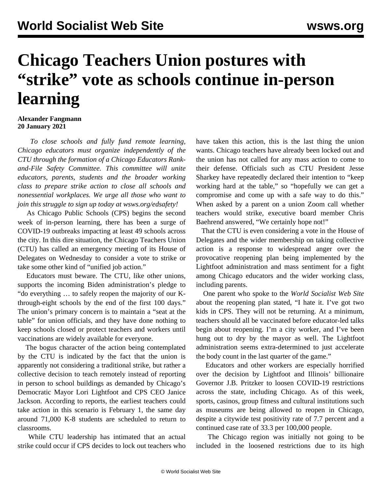## **Chicago Teachers Union postures with "strike" vote as schools continue in-person learning**

## **Alexander Fangmann 20 January 2021**

 *To close schools and fully fund remote learning, Chicago educators must organize independently of the CTU through the formation of a Chicago Educators Rankand-File Safety Committee. This committee will unite educators, parents, students and the broader working class to prepare strike action to close all schools and nonessential workplaces. We urge all those who want to join this struggle to sign up today at [wsws.org/edsafety!](/edsafety)*

 As Chicago Public Schools (CPS) begins the second week of in-person learning, there has been a surge of COVID-19 outbreaks impacting at least 49 schools across the city. In this dire situation, the Chicago Teachers Union (CTU) has called an emergency meeting of its House of Delegates on Wednesday to consider a vote to strike or take some other kind of "unified job action."

 Educators must beware. The CTU, like other unions, supports the incoming Biden administration's pledge to "do everything … to safely reopen the majority of our Kthrough-eight schools by the end of the first 100 days." The union's primary concern is to maintain a "seat at the table" for union officials, and they have done nothing to keep schools closed or protect teachers and workers until vaccinations are widely available for everyone.

 The bogus character of the action being contemplated by the CTU is indicated by the fact that the union is apparently not considering a traditional strike, but rather a collective decision to teach remotely instead of reporting in person to school buildings as demanded by Chicago's Democratic Mayor Lori Lightfoot and CPS CEO Janice Jackson. According to reports, the earliest teachers could take action in this scenario is February 1, the same day around 71,000 K-8 students are scheduled to return to classrooms.

 While CTU leadership has intimated that an actual strike could occur if CPS decides to lock out teachers who have taken this action, this is the last thing the union wants. Chicago teachers have [already been locked out](/en/articles/2021/01/13/chic-j13.html) and the union has not called for any mass action to come to their defense. Officials such as CTU President Jesse Sharkey have repeatedly declared their intention to "keep working hard at the table," so "hopefully we can get a compromise and come up with a safe way to do this." When asked by a parent on a union Zoom call whether teachers would strike, executive board member Chris Baehrend answered, "We certainly hope not!"

 That the CTU is even considering a vote in the House of Delegates and the wider membership on taking collective action is a response to widespread anger over the provocative reopening plan being implemented by the Lightfoot administration and mass sentiment for a fight among Chicago educators and the wider working class, including parents.

 One parent who spoke to the *World Socialist Web Site* about the reopening plan stated, "I hate it. I've got two kids in CPS. They will not be returning. At a minimum, teachers should all be vaccinated before educator-led talks begin about reopening. I'm a city worker, and I've been hung out to dry by the mayor as well. The Lightfoot administration seems extra-determined to just accelerate the body count in the last quarter of the game."

 Educators and other workers are especially horrified over the decision by Lightfoot and Illinois' billionaire Governor J.B. Pritzker to loosen COVID-19 restrictions across the state, including Chicago. As of this week, sports, casinos, group fitness and cultural institutions such as museums are being allowed to reopen in Chicago, despite a citywide test positivity rate of 7.7 percent and a continued case rate of 33.3 per 100,000 people.

 The Chicago region was initially not going to be included in the loosened restrictions due to its high